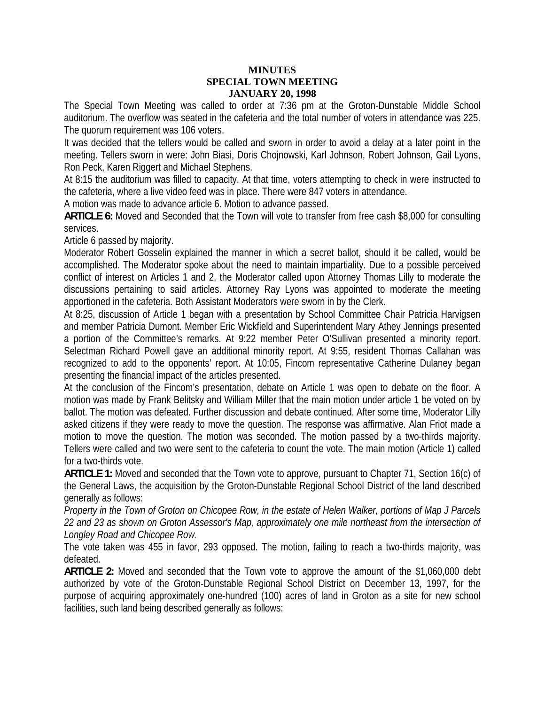## **MINUTES SPECIAL TOWN MEETING JANUARY 20, 1998**

The Special Town Meeting was called to order at 7:36 pm at the Groton-Dunstable Middle School auditorium. The overflow was seated in the cafeteria and the total number of voters in attendance was 225. The quorum requirement was 106 voters.

It was decided that the tellers would be called and sworn in order to avoid a delay at a later point in the meeting. Tellers sworn in were: John Biasi, Doris Chojnowski, Karl Johnson, Robert Johnson, Gail Lyons, Ron Peck, Karen Riggert and Michael Stephens.

At 8:15 the auditorium was filled to capacity. At that time, voters attempting to check in were instructed to the cafeteria, where a live video feed was in place. There were 847 voters in attendance.

A motion was made to advance article 6. Motion to advance passed.

**ARTICLE 6:** Moved and Seconded that the Town will vote to transfer from free cash \$8,000 for consulting services.

Article 6 passed by majority.

Moderator Robert Gosselin explained the manner in which a secret ballot, should it be called, would be accomplished. The Moderator spoke about the need to maintain impartiality. Due to a possible perceived conflict of interest on Articles 1 and 2, the Moderator called upon Attorney Thomas Lilly to moderate the discussions pertaining to said articles. Attorney Ray Lyons was appointed to moderate the meeting apportioned in the cafeteria. Both Assistant Moderators were sworn in by the Clerk.

At 8:25, discussion of Article 1 began with a presentation by School Committee Chair Patricia Harvigsen and member Patricia Dumont. Member Eric Wickfield and Superintendent Mary Athey Jennings presented a portion of the Committee's remarks. At 9:22 member Peter O'Sullivan presented a minority report. Selectman Richard Powell gave an additional minority report. At 9:55, resident Thomas Callahan was recognized to add to the opponents' report. At 10:05, Fincom representative Catherine Dulaney began presenting the financial impact of the articles presented.

At the conclusion of the Fincom's presentation, debate on Article 1 was open to debate on the floor. A motion was made by Frank Belitsky and William Miller that the main motion under article 1 be voted on by ballot. The motion was defeated. Further discussion and debate continued. After some time, Moderator Lilly asked citizens if they were ready to move the question. The response was affirmative. Alan Friot made a motion to move the question. The motion was seconded. The motion passed by a two-thirds majority. Tellers were called and two were sent to the cafeteria to count the vote. The main motion (Article 1) called for a two-thirds vote.

**ARTICLE 1:** Moved and seconded that the Town vote to approve, pursuant to Chapter 71, Section 16(c) of the General Laws, the acquisition by the Groton-Dunstable Regional School District of the land described generally as follows:

*Property in the Town of Groton on Chicopee Row, in the estate of Helen Walker, portions of Map J Parcels 22 and 23 as shown on Groton Assessor's Map, approximately one mile northeast from the intersection of Longley Road and Chicopee Row.* 

The vote taken was 455 in favor, 293 opposed. The motion, failing to reach a two-thirds majority, was defeated.

**ARTICLE 2:** Moved and seconded that the Town vote to approve the amount of the \$1,060,000 debt authorized by vote of the Groton-Dunstable Regional School District on December 13, 1997, for the purpose of acquiring approximately one-hundred (100) acres of land in Groton as a site for new school facilities, such land being described generally as follows: